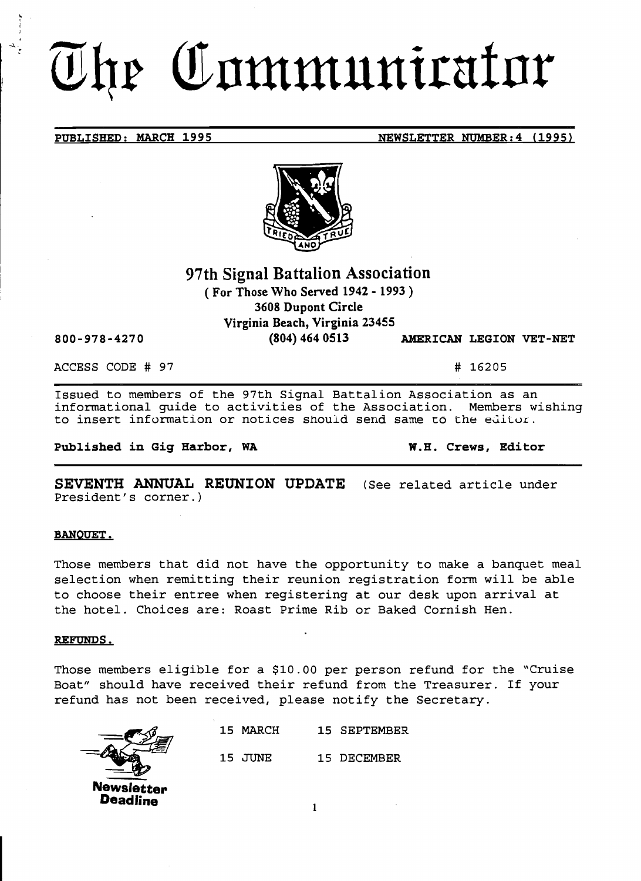# The Communicator

## **PUBLISHED: MARCH 1995 NEWSLETTER NUMBER: 4 (1995)**



# **97th Signal Battalion Association**

( **For Those Who Served 1942 - 1993** ) **3608 Dupont Circle Virginia Beach, Virginia 23455** 

**800-978-4270 (804) 464 0513 AMERICAN LEGION VET-NET** 

ACCESS CODE # 97 # 16205

Issued to members of the 97th Signal Battalion Association as an informational guide to activities of the Association. Members wishing to insert information or notices should send same to the editor.

**Published in Gig Harbor, WA W.H. Crews, Editor** 

**SEVENTH ANNUAL REUNION UPDATE** (See related article under President's corner.)

### **BANQUET.**

Those members that did not have the opportunity to make a banquet meal selection when remitting their reunion registration form will be able to choose their entree when registering at our desk upon arrival at the hotel. Choices are: Roast Prime Rib or Baked Cornish Hen.

### **REFUNDS.**

Those members eligible for a \$10.00 per person refund for the "Cruise Boat" should have received their refund from the Treasurer. If your refund has not been received, please notify the Secretary.



|            | 15 MARCH | 15 SEPTEMBER |
|------------|----------|--------------|
|            | 15 JUNE  | 15 DECEMBER  |
| lewsletten |          |              |

 $\mathbf{1}$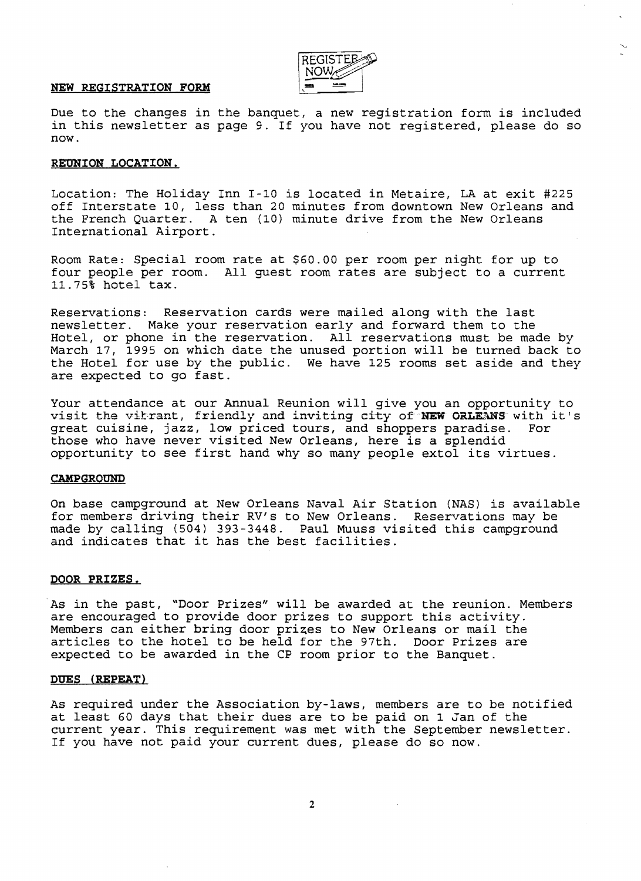

### **NEW REGISTRATION FORM**

Due to the changes in the banquet, a new registration form is included in this newsletter as page 9. If you have not registered, please do so now.

### **REUNION LOCATION.**

Location: The Holiday Inn 1-10 is located in Metaire, LA at exit #225 off Interstate 10, less than 20 minutes from downtown New Orleans and the French Quarter. A ten (10) minute drive from the New Orleans International Airport.

Room Rate: Special room rate at \$60.00 per room per night for up to four people per room. All guest room rates are subject to a current 11.75% hotel tax.

Reservations: Reservation cards were mailed along with the last newsletter. Make your reservation early and forward them to the Hotel, or phone in the reservation. All reservations must be made by March 17, 1995 on which date the unused portion will be turned back to the Hotel for use by the public. We have 125 rooms set aside and they are expected to go fast.

Your attendance at our Annual Reunion will give you an opportunity to visit the vitrant, friendly and inviting city of **NEW ORLEANS** with it's great cuisine, jazz, low priced tours, and shoppers paradise. For great cuisine, jazz, low priced tours, and shoppers paradise. For great carbine, just, for priced coars, and shoppers paradice.<br>those who have never visited New Orleans, here is a splendid opportunity to see first hand why so many people extol its virtues.

### **CAMPGROUND**

On base campground at New Orleans Naval Air Station (NAS) is available for members driving their RV's to New Orleans. Reservations may be made by calling (504) 393-3448. Paul Muuss visited this campground and indicates that it has the best facilities.

### **DOOR PRIZES.**

As in the past, "Door Prizes" will be awarded at the reunion. Members are encouraged to provide door prizes to support this activity. Members can either bring door prizes to New Orleans or mail the articles to the hotel to be held for the 97th. Door Prizes are expected to be awarded in the CP room prior to the Banquet.

### **DUES (REPEAT)**

As required under the Association by-laws, members are to be notified at least 60 days that their dues are to be paid on 1 Jan of the current year. This requirement was met with the September newsletter. If you have not paid your current dues, please do so now.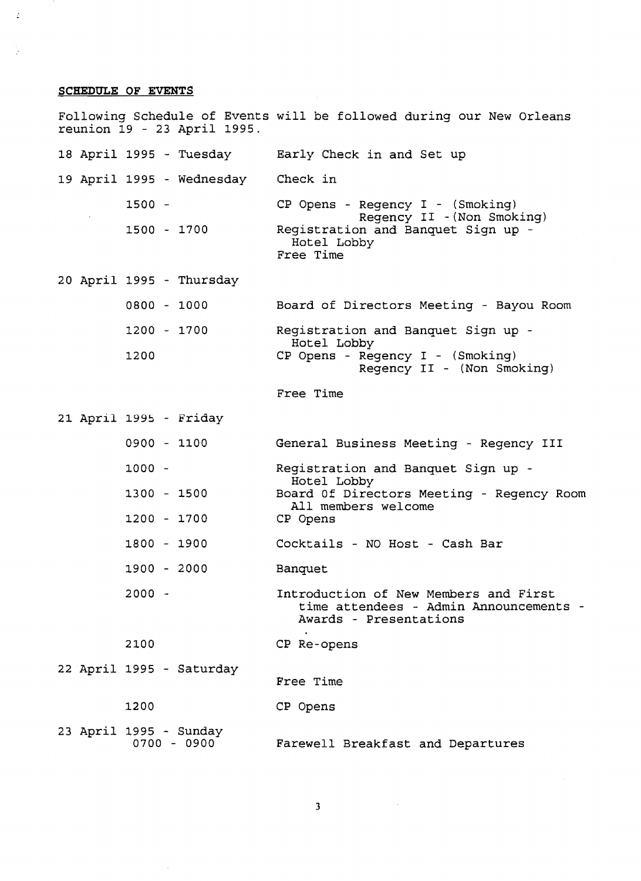### SCHEDULE OF EVENTS

Ź

Following Schedule of Events will be followed during our New Orleans reunion 19 - 23 April 1995. 18 April 1995 Tuesday 19 April 1995 wednesday 1500 1500 1700 20 April 1995 Thursday 0800 1000 1200 1700 1200 21 April 1995 Friday 0900 1100 1000 1300 1500 1200 1700 1800 1900 1900 2000  $2000 -$ 2100 22 April 1995 Saturday 1200 23 April 1995 - Sunday<br>0700 - 0900  $0700 - 0900$ Early Check in and Set up Check in CP Opens - Regency I - (Smoking) Regency II - (Non Smoking) Registration and Banquet Sign up Hotel Lobby Free Time Board of Directors Meeting - Bayou Room Registration and Banquet Sign up Hotel Lobby CP Opens - Regency I - (Smoking) Regency II - (Non Smoking) Free Time General Business Meeting - Regency III Registration and Banquet Sign up Hotel Lobby Board Of Directors Meeting - Regency Room All members welcome CP Opens Cocktails - NO Host - Cash Bar Banquet Introduction of New Members and First time attendees - Admin Announcements Awards - Presentations CP Re-opens Free Time CP Opens Farewell Breakfast and Departures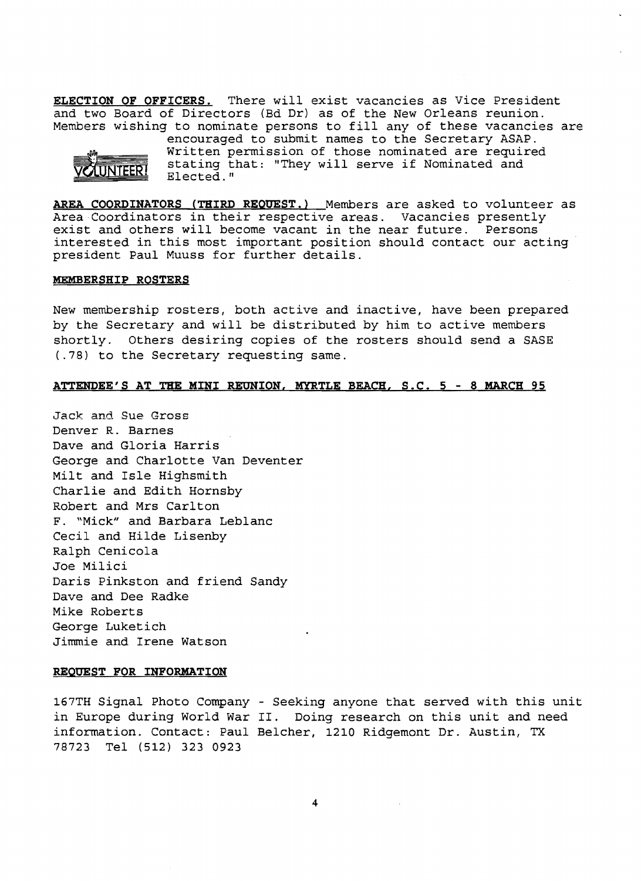**ELECTION OF OFFICERS.** There will exist vacancies as Vice President and two Board of Directors (Bd Dr) as of the New Orleans reunion. Members wishing to nominate persons to fill any of these vacancies are



encouraged to submit names to the Secretary ASAP. Written permission of those nominated are required stating that: "They will serve if Nominated and Elected. <sup>n</sup>

**AREA COORDINATORS (THIRD REQUEST.)** Members are asked to volunteer as Area Coordinators in their respective areas. Vacancies presently exist and others will become vacant in the near future. Persons interested in this most important position should contact our acting president Paul Muuss for further details.

### **MEMBERSHIP ROSTERS**

New membership rosters, both active and inactive, have been prepared by the Secretary and will be distributed by him to active members shortly. Others desiring copies of the rosters should send a SASE (.78) to the Secretary requesting same.

### **ATTENDEE'S AT THE MINI REUNION, MYRTLE BEACH, S.C.** 5 - 8 **MARCH 95**

Jack and Sue Gross Denver R. Barnes Dave and Gloria Harris George and Charlotte Van Deventer Milt and Isle Highsmith Charlie and Edith Hornsby Robert and Mrs Carlton F. "Mick" and Barbara Leblanc Cecil and Hilde Lisenby Ralph Cenicola Joe Milici Daris Pinkston and friend Sandy Dave and Dee Radke Mike Roberts George Luketich Jimmie and Irene Watson

### **REQUEST FOR INFORMATIQN**

167TH Signal Photo Company - Seeking anyone that served with this unit in Europe during World War II. Doing research on this unit and need information. Contact: Paul Belcher, 1210 Ridgemont Dr. Austin, TX 78723 Tel (512) 323 0923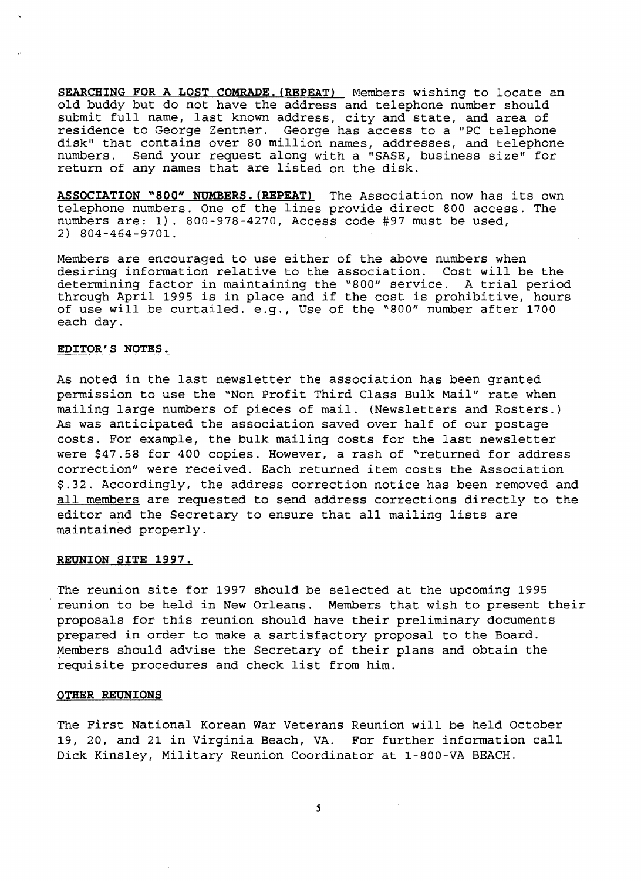**SEARCHING FOR A LOST COMRADE. (REPEAT)** Members wishing to locate an old buddy but do not have the address and telephone number should submit full name, last known address, city and state, and area of residence to George Zentner. George has access to a "PC telephone disk" that contains over 80 million names, addresses, and telephone numbers. Send your request along with a "SASE, business size" for return of any names that are listed on the disk.

**ASSOCIATION "800" NUMBERS. (REPEAT)** The Association now has its own telephone numbers. One of the lines provide direct 800 access. The numbers are: 1). 800-978-4270, Access code #97 must be used, 2) 804-464-9701.

Members are encouraged to use either of the above numbers when<br>desiring information relative to the association. Cost will be the desiring information relative to the association. determining factor in maintaining the *"800"* service. A trial period through April 1995 is in place and if the cost is prohibitive, hours of use will be curtailed. e.g., Use of the *"800"* number after 1700 each day.

### **EDITOR'S NOTES.**

As noted in the last newsletter the association has been granted permission to use the "Non Profit Third Class Bulk Mail" rate when mailing large numbers of pieces of mail. (Newsletters and Rosters.) As was anticipated the association saved over half of our postage costs. For example, the bulk mailing costs for the last newsletter were \$47.58 for 400 copies. However, a rash of "returned for address correction" were received. Each returned item costs the Association \$.32. Accordingly, the address correction notice has been removed and all members are requested to send address corrections directly to the editor and the Secretary to ensure that all mailing lists are maintained properly.

### **REUNION SITE 1997.**

The reunion site for 1997 should be selected at the upcoming 1995 . reunion to be held in New Orleans. Members that wish to present their proposals for this reunion should have their preliminary documents prepared in order to make a sartisfactory proposal to the Board. Members should advise the Secretary of their plans and obtain the requisite procedures and check list from him.

### **OTHER REUNIONS**

The First National Korean War Veterans Reunion will be held October 19, 20, and 21 in Virginia Beach, VA. For further information call Dick Kinsley, Military Reunion Coordinator at 1-800-VA BEACH.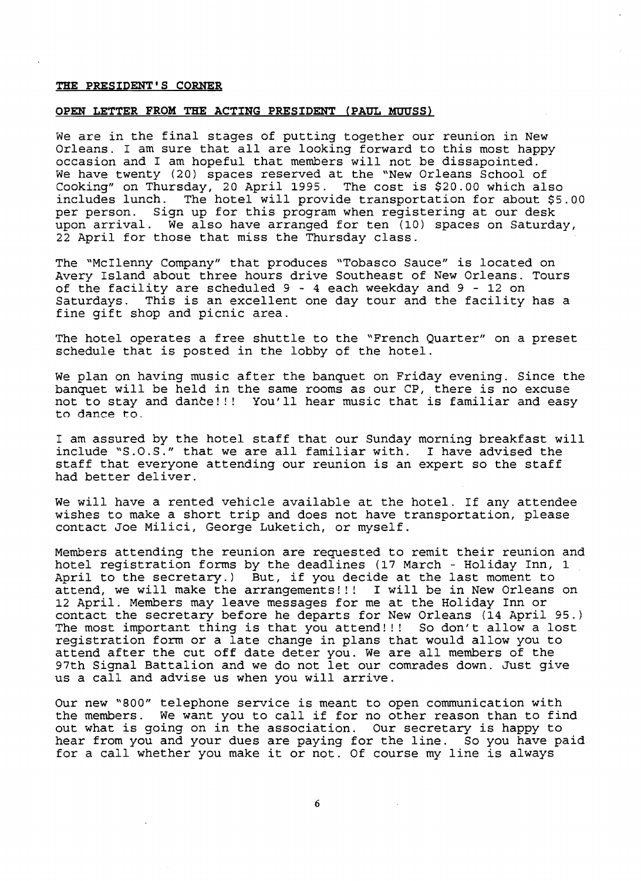### **THE PRESIDENT'S CORNER**

### **OPEN LETTER FROM THE ACTING PRESIDENT (PAUL HDUSS)**

We are in the final stages of putting together our reunion in New Orleans. I am sure that all are looking forward to this most happy occasion and I am hopeful that members will not be dissapointed. We have twenty (20) spaces reserved at the "New Orleans School of Cooking" on Thursday, 20 April 1995. The cost is \$20.00 which also includes lunch. The hotel will provide transportation for about \$5.00 per person. Sign up for this program when registering at our desk upon arrival. We also have arranged for ten (10) spaces on Saturday, 22 April for those that miss the Thursday class.

The "McIlenny Company" that produces "Tobasco Sauce" is located on Avery Island about three hours drive Southeast of New Orleans. Tours of the facility are scheduled 9 - 4 each weekday and 9 - 12 on<br>Saturdays. This is an excellent one day tour and the facility This is an excellent one day tour and the facility has a fine gift shop and picnic area.

The hotel operates a free shuttle to the "French Quarter" on a preset schedule that is posted in the lobby of the hotel.

We plan on having music after the banquet on Friday evening. Since the banquet will be held in the same rooms as our CP, there is no excuse not to stay and dante!!! You'll hear music that is familiar and easy to dance to.

I am assured by the hotel staff that our Sunday morning breakfast will include "S.O.S." that we are all familiar with. I have advised the staff that everyone attending our reunion is an expert so the staff had better deliver.

We will have a rented vehicle available at the hotel. If any attendee wishes to make a short trip and does not have transportation, please contact Joe Milici, George Luketich, or myself.

Members attending the reunion are requested to remit their reunion and hotel registration forms by the deadlines (17 March - Holiday Inn, 1 April to the secretary.) But, if you decide at the last moment to attend, we will make the arrangements!!! I will be in New Orleans on 12 April. Members may leave messages for me at the Holiday Inn or contact the secretary before he departs for New Orleans (14 April 95.) The most important thing is that you attend!!! So don't allow a lost registration form or a late change in plans that would allow you to attend after the cut off date deter you. We are all members of the attend after the car off date deter you. We are all members of the<br>97th Signal Battalion and we do not let our comrades down. Just give us a call and advise us when you will arrive.

Our new "800" telephone service is meant to open communication with the members. We want you to call if for no other reason than to find out what is going on in the association. Our secretary is happy to hear from you and your dues are paying for the line. So you have paid for a call whether you make it or not. Of course my line is always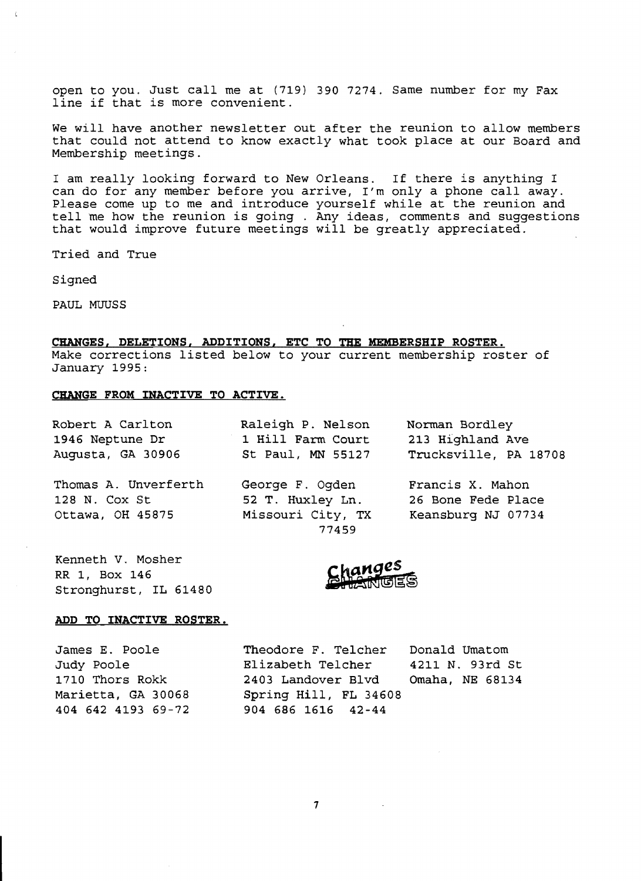open to you. Just call me at (719) 390 7274. Same number for my Fax line if that is more convenient.

We will have another newsletter out after the reunion to allow members that could not attend to know exactly what took place at our Board and Membership meetings.

I am really looking forward to New Orleans. If there is anything I can do for any member before you arrive, I'm only a phone call away. Please come up to me and introduce yourself while at the reunion and tell me how the reunion is going . Any ideas, comments and suggestions that would improve future meetings will be greatly appreciated.

Tried and True

Signed

Č.

PAUL MUUSS

### **CHANGES, DELETIONS, ADDITIONS. ETC TO THE MEMBERSHIP ROSTER.**

Make corrections listed below to your current membership roster of January 1995:

### **CHANGE FROM INACTIVE TO ACTIVE.**

| Robert A Carlton  | Raleigh P. Nelson<br>Norman Bordley |                       |
|-------------------|-------------------------------------|-----------------------|
| 1946 Neptune Dr   | 1 Hill Farm Court                   | 213 Highland Ave      |
| Augusta, GA 30906 | St Paul, MN 55127                   | Trucksville, PA 18708 |

128 N. Cox St 52 T. Huxley Ln. 26 Bone Fede Place Ottawa, OH 45875 Missouri City, TX Keansburg NJ 07734

Thomas A. Unverferth George F. Ogden Francis X. Mahon 77459

Kenneth V. Mosher RR 1, Box 146 Stronghurst, IL 61480

### **ADD TO INACTIVE ROSTER.**

James E. Poole Theodore F. TeIcher Donald Umatom Judy Poole Elizabeth TeIcher 4211 N. 93rd St 1710 Thors Rokk 2403 Landover Blvd Omaha, NE 68134 Marietta, GA 30068 Spring Hill, **FL** 34608 404 642 4193 69-72 904 686 1616 42-44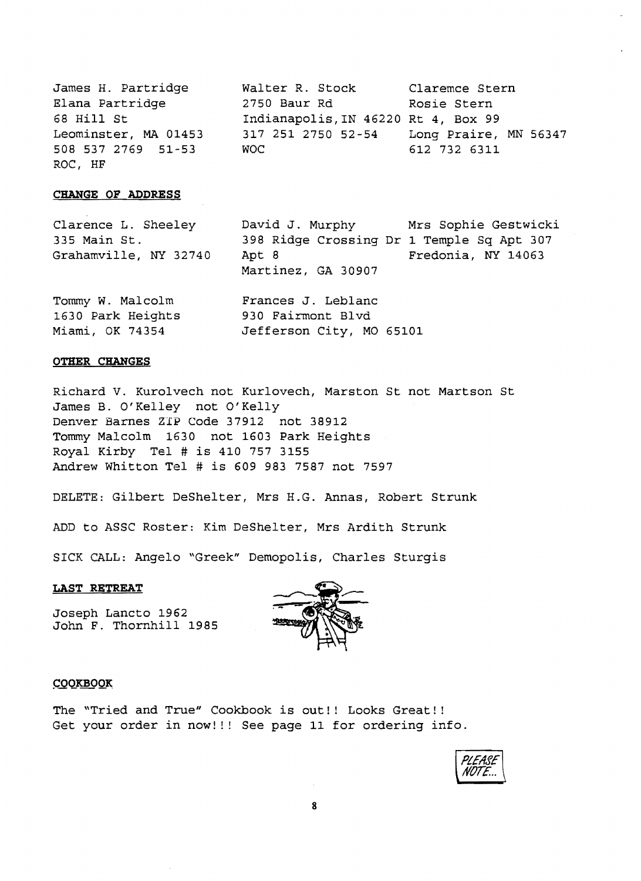James H. Partridge Walter R. Stock Claremce Stern Elana Partridge 2750 Baur Rd Rosie Stern 68 Hill St 1ndianapolis, IN 46220 Rt 4, Box 99<br>Leominster, MA 01453 317 251 2750 52-54 Long Praire, 508 537 2769 51-53 WOC 612 732 6311 ROC, HF

Miami, OK 74354 Jefferson City, MO 65101

Long Praire, MN 56347

### **CHANGE OF ADDRESS**

Clarence L. Sheeley David J. Murphy Mrs Sophie Gestwicki 335 Main St. 398 Ridge Crossing Dr 1 Temple Sq Apt 307<br>Grahamville. NY 32740 Apt 8 Fredonia. NY 14063 Grahamville, NY 32740 Apt 8 Martinez, GA 30907 Tommy W. Malcolm Frances J. Leblanc<br>1630 Park Heights 930 Fairmont Blvd 1630 Park Heights

### **OTHER CHANGES**

Richard V. Kurolvech not Kurlovech, Marston St not Martson St James B. O'Kelley not O'Kelly Denver Barnes ZIP Code 37912 not 38912 Tommy Malcolm 1630 not 1603 Park Heights Royal Kirby Tel # is 410 757 3155 Andrew Whitton Tel # is 609 983 7587 not 7597

DELETE: Gilbert DeShelter, Mrs H.G. Annas, Robert Strunk

ADD to ASSC Roster: Kim DeShelter, Mrs Ardith Strunk

SICK CALL: Angelo "Greek" Demopolis, Charles Sturgis

### **LAST RETREAT**

Joseph Lancto 1962 John F. Thornhill 1985



### **COOKBOOK**

The "Tried and True" Cookbook is out!! Looks Great!! Get your order in now!!! See page 11 for ordering info.

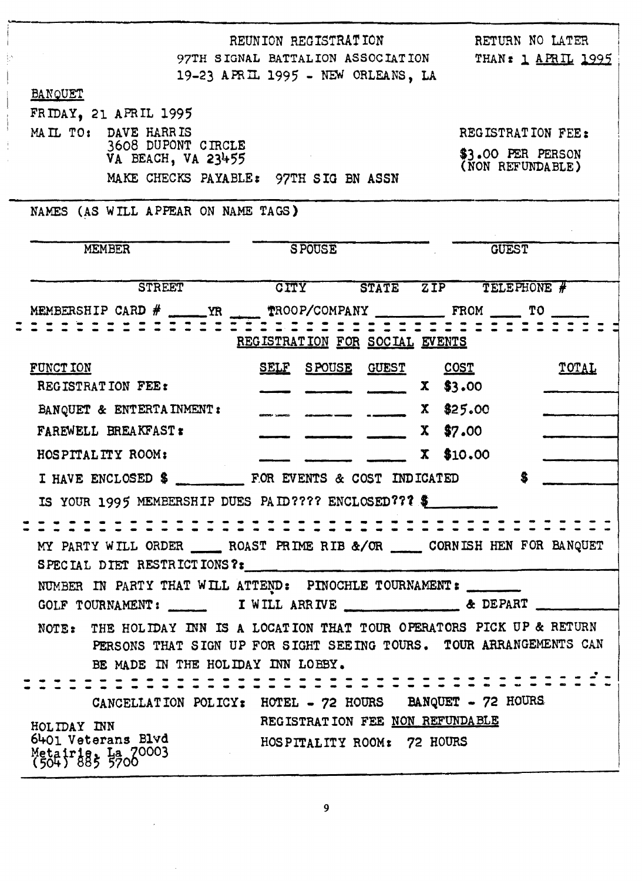| REUNION REGISTRATION                                                                                                                                                                                                                                                                                                                               | RETURN NO LATER                       |
|----------------------------------------------------------------------------------------------------------------------------------------------------------------------------------------------------------------------------------------------------------------------------------------------------------------------------------------------------|---------------------------------------|
| 97TH SIGNAL BATTALION ASSOCIATION                                                                                                                                                                                                                                                                                                                  | THAN: 1 APRIL 1995                    |
| 19-23 APRIL 1995 - NEW ORLEANS, LA                                                                                                                                                                                                                                                                                                                 |                                       |
| <b>BANQUET</b>                                                                                                                                                                                                                                                                                                                                     |                                       |
| FRIDAY, 21 APRIL 1995<br>MAIL TO: DAVE HARRIS                                                                                                                                                                                                                                                                                                      | REGISTRATION FEE:                     |
| 3608 DUPONT CIRCLE                                                                                                                                                                                                                                                                                                                                 |                                       |
| VA BEACH, VA 23455                                                                                                                                                                                                                                                                                                                                 | \$3.00 PER PERSON<br>(NON REFUNDABLE) |
| MAKE CHECKS PAYABLE: 97TH SIG BN ASSN                                                                                                                                                                                                                                                                                                              |                                       |
| NAMES (AS WILL APPEAR ON NAME TAGS)                                                                                                                                                                                                                                                                                                                |                                       |
| <b>SPOUSE</b>                                                                                                                                                                                                                                                                                                                                      |                                       |
| <b>MEMBER</b>                                                                                                                                                                                                                                                                                                                                      | <b>GUEST</b>                          |
| <b>STREET</b><br>CITY<br><b>STATE</b>                                                                                                                                                                                                                                                                                                              | TELEPHONE #<br>ZIP                    |
| MEMBERSHIP CARD $#$ $\qquad$ $\qquad$ $\qquad$ $\qquad$ $\qquad$ $\qquad$ $\qquad$ $\qquad$ $\qquad$ $\qquad$ $\qquad$ $\qquad$ $\qquad$ $\qquad$ $\qquad$ $\qquad$ $\qquad$ $\qquad$ $\qquad$ $\qquad$ $\qquad$ $\qquad$ $\qquad$ $\qquad$ $\qquad$ $\qquad$ $\qquad$ $\qquad$ $\qquad$ $\qquad$ $\qquad$ $\qquad$ $\qquad$ $\q$<br>TROOP/COMPANY | FROM TO                               |
| REGISTRATION FOR SOCIAL EVENTS                                                                                                                                                                                                                                                                                                                     |                                       |
| <u>S POUSE</u><br><b>FUNCT ION</b><br><u>SELF</u><br><u>GUEST</u>                                                                                                                                                                                                                                                                                  | <u>COST</u><br>TOTAL                  |
| REGISTRATION FEE:                                                                                                                                                                                                                                                                                                                                  | \$3.00<br>X                           |
| BANQUET & ENTERTA INMENT:                                                                                                                                                                                                                                                                                                                          | \$25.00<br>X.                         |
| FAREWELL BREAKFAST:                                                                                                                                                                                                                                                                                                                                | \$7.00<br>X.                          |
| HOSPITALITY ROOM:                                                                                                                                                                                                                                                                                                                                  | \$10.00<br>X                          |
|                                                                                                                                                                                                                                                                                                                                                    | S                                     |
| I HAVE ENCLOSED \$<br>FOR EVENTS & COST INDICATED                                                                                                                                                                                                                                                                                                  |                                       |
| IS YOUR 1995 MEMBERSHIP DUES PAID???? ENCLOSED??? \$                                                                                                                                                                                                                                                                                               |                                       |
|                                                                                                                                                                                                                                                                                                                                                    |                                       |
| MY PARTY WILL ORDER _______ ROAST PRIME RIB &/OR _______ CORNISH HEN FOR BANQUET                                                                                                                                                                                                                                                                   |                                       |
| SPECIAL DIET RESTRICTIONS?:                                                                                                                                                                                                                                                                                                                        |                                       |
| NUMBER IN PARTY THAT WILL ATTEND: PINOCHLE TOURNAMENT:                                                                                                                                                                                                                                                                                             |                                       |
|                                                                                                                                                                                                                                                                                                                                                    |                                       |
| NOTE: THE HOLIDAY INN IS A LOCATION THAT TOUR OPERATORS PICK UP & RETURN<br>PERSONS THAT SIGN UP FOR SIGHT SEEING TOURS. TOUR ARRANGEMENTS CAN                                                                                                                                                                                                     |                                       |
| BE MADE IN THE HOLIDAY INN LOBBY.                                                                                                                                                                                                                                                                                                                  |                                       |
|                                                                                                                                                                                                                                                                                                                                                    |                                       |
| CANCELLATION POLICY: HOTEL - 72 HOURS BANQUET - 72 HOURS                                                                                                                                                                                                                                                                                           |                                       |
| REGISTRATION FEE NON REFUNDABLE<br>HOLIDAY INN                                                                                                                                                                                                                                                                                                     |                                       |
| 6401 Veterans Blvd<br>HOSPITALITY ROOM: 72 HOURS<br>Metairie: La 70003                                                                                                                                                                                                                                                                             |                                       |
|                                                                                                                                                                                                                                                                                                                                                    |                                       |